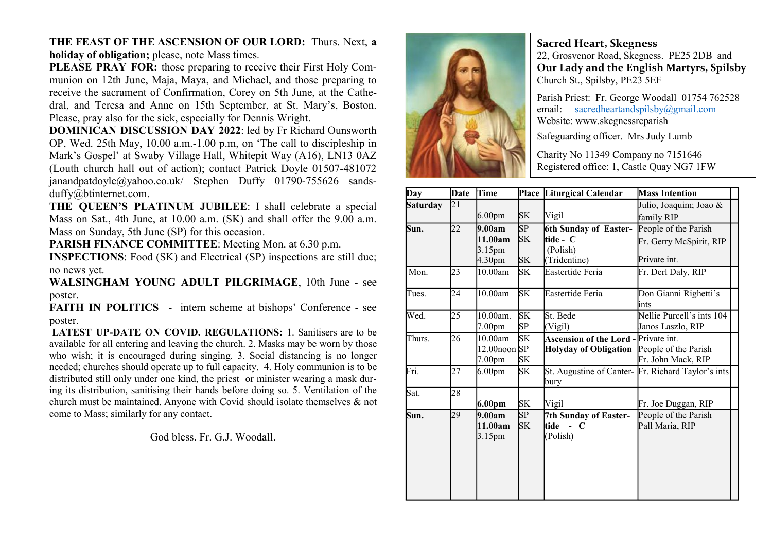THE FEAST OF THE ASCENSION OF OUR LORD: Thurs. Next, a holiday of obligation; please, note Mass times.

PLEASE PRAY FOR: those preparing to receive their First Holy Communion on 12th June, Maja, Maya, and Michael, and those preparing to receive the sacrament of Confirmation, Corey on 5th June, at the Cathedral, and Teresa and Anne on 15th September, at St. Mary's, Boston. Please, pray also for the sick, especially for Dennis Wright.

DOMINICAN DISCUSSION DAY 2022: led by Fr Richard Ounsworth OP, Wed. 25th May, 10.00 a.m.-1.00 p.m, on 'The call to discipleship in Mark's Gospel' at Swaby Village Hall, Whitepit Way (A16), LN13 0AZ (Louth church hall out of action); contact Patrick Doyle 01507-481072 janandpatdoyle@yahoo.co.uk/ Stephen Duffy 01790-755626 sandsduffy@btinternet.com.

THE QUEEN'S PLATINUM JUBILEE: I shall celebrate a special Mass on Sat., 4th June, at 10.00 a.m. (SK) and shall offer the 9.00 a.m. Mass on Sunday, 5th June (SP) for this occasion.

PARISH FINANCE COMMITTEE: Meeting Mon. at 6.30 p.m.

INSPECTIONS: Food (SK) and Electrical (SP) inspections are still due; no news yet.

WALSINGHAM YOUNG ADULT PILGRIMAGE, 10th June - see poster.

FAITH IN POLITICS - intern scheme at bishops' Conference - see poster.

LATEST UP-DATE ON COVID. REGULATIONS: 1. Sanitisers are to be available for all entering and leaving the church. 2. Masks may be worn by those who wish; it is encouraged during singing. 3. Social distancing is no longer needed; churches should operate up to full capacity. 4. Holy communion is to be distributed still only under one kind, the priest or minister wearing a mask during its distribution, sanitising their hands before doing so. 5. Ventilation of the church must be maintained. Anyone with Covid should isolate themselves & not come to Mass; similarly for any contact.

God bless. Fr. G.J. Woodall.



Sacred Heart, Skegness

22, Grosvenor Road, Skegness. PE25 2DB and Our Lady and the English Martyrs, Spilsby Church St., Spilsby, PE23 5EF

Parish Priest: Fr. George Woodall 01754 762528 email: sacredheartandspilsby@gmail.com Website: www.skegnessrcparish

Safeguarding officer. Mrs Judy Lumb

Charity No 11349 Company no 7151646 Registered office: 1, Castle Quay NG7 1FW

| Day             | Date | Time                               |                 | Place Liturgical Calendar                   | <b>Mass Intention</b>                              |
|-----------------|------|------------------------------------|-----------------|---------------------------------------------|----------------------------------------------------|
| <b>Saturday</b> | 21   |                                    |                 |                                             | Julio, Joaquim; Joao &                             |
|                 |      | 6.00 <sub>pm</sub>                 | SK              | Vigil                                       | family RIP                                         |
| Sun.            | 22   | 9.00am<br>11.00am                  | SP<br>SK        | 6th Sunday of Easter-<br>tide - C           | People of the Parish                               |
|                 |      | 3.15pm                             |                 | (Polish)                                    | Fr. Gerry McSpirit, RIP                            |
|                 |      | 4.30 <sub>pm</sub>                 | SK              | (Tridentine)                                | Private int.                                       |
| Mon.            | 23   | 10.00am                            | SK              | Eastertide Feria                            | Fr. Derl Daly, RIP                                 |
| Tues.           | 24   | 10.00am                            | <b>SK</b>       | Eastertide Feria                            | Don Gianni Righetti's<br>ints                      |
| Wed.            | 25   | 10.00am.<br>7.00 <sub>pm</sub>     | <b>SK</b><br>SP | St. Bede<br>(Vigil)                         | Nellie Purcell's ints 104<br>Janos Laszlo, RIP     |
| Thurs.          | 26   | 10.00am                            | <b>SK</b>       | <b>Ascension of the Lord - Private int.</b> |                                                    |
|                 |      | 12.00noon SP<br>7.00 <sub>pm</sub> | SK              | Holyday of Obligation People of the Parish  | Fr. John Mack, RIP                                 |
| Fri.            | 27   | 6.00 <sub>pm</sub>                 | SK              | bury                                        | St. Augustine of Canter- Fr. Richard Taylor's ints |
| Sat.            | 28   |                                    |                 |                                             |                                                    |
|                 |      | 6.00pm                             | SK              | Vigil                                       | Fr. Joe Duggan, RIP                                |
| Sun.            | 29   | 9.00am                             | SP              | 7th Sunday of Easter-                       | People of the Parish                               |
|                 |      | 11.00am                            | SK              | tide - C                                    | Pall Maria, RIP                                    |
|                 |      | $3.15$ pm                          |                 | (Polish)                                    |                                                    |
|                 |      |                                    |                 |                                             |                                                    |
|                 |      |                                    |                 |                                             |                                                    |
|                 |      |                                    |                 |                                             |                                                    |
|                 |      |                                    |                 |                                             |                                                    |
|                 |      |                                    |                 |                                             |                                                    |